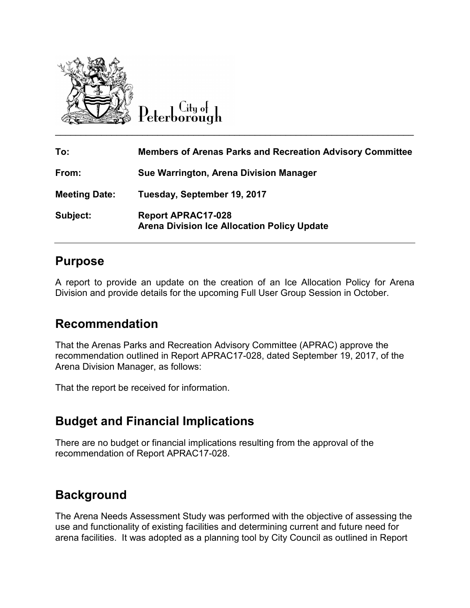

City of

| To:                  | <b>Members of Arenas Parks and Recreation Advisory Committee</b>                |
|----------------------|---------------------------------------------------------------------------------|
| From:                | Sue Warrington, Arena Division Manager                                          |
| <b>Meeting Date:</b> | Tuesday, September 19, 2017                                                     |
| Subject:             | <b>Report APRAC17-028</b><br><b>Arena Division Ice Allocation Policy Update</b> |

### **Purpose**

A report to provide an update on the creation of an Ice Allocation Policy for Arena Division and provide details for the upcoming Full User Group Session in October.

### **Recommendation**

That the Arenas Parks and Recreation Advisory Committee (APRAC) approve the recommendation outlined in Report APRAC17-028, dated September 19, 2017, of the Arena Division Manager, as follows:

That the report be received for information.

# **Budget and Financial Implications**

There are no budget or financial implications resulting from the approval of the recommendation of Report APRAC17-028.

# **Background**

The Arena Needs Assessment Study was performed with the objective of assessing the use and functionality of existing facilities and determining current and future need for arena facilities. It was adopted as a planning tool by City Council as outlined in Report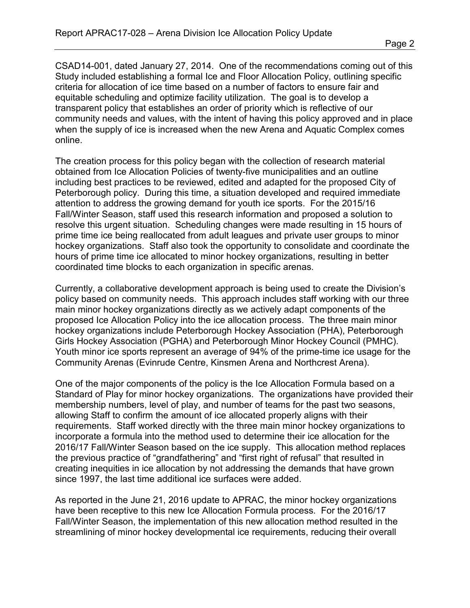CSAD14-001, dated January 27, 2014. One of the recommendations coming out of this Study included establishing a formal Ice and Floor Allocation Policy, outlining specific criteria for allocation of ice time based on a number of factors to ensure fair and equitable scheduling and optimize facility utilization. The goal is to develop a transparent policy that establishes an order of priority which is reflective of our community needs and values, with the intent of having this policy approved and in place when the supply of ice is increased when the new Arena and Aquatic Complex comes online.

The creation process for this policy began with the collection of research material obtained from Ice Allocation Policies of twenty-five municipalities and an outline including best practices to be reviewed, edited and adapted for the proposed City of Peterborough policy. During this time, a situation developed and required immediate attention to address the growing demand for youth ice sports. For the 2015/16 Fall/Winter Season, staff used this research information and proposed a solution to resolve this urgent situation. Scheduling changes were made resulting in 15 hours of prime time ice being reallocated from adult leagues and private user groups to minor hockey organizations. Staff also took the opportunity to consolidate and coordinate the hours of prime time ice allocated to minor hockey organizations, resulting in better coordinated time blocks to each organization in specific arenas.

Currently, a collaborative development approach is being used to create the Division's policy based on community needs. This approach includes staff working with our three main minor hockey organizations directly as we actively adapt components of the proposed Ice Allocation Policy into the ice allocation process. The three main minor hockey organizations include Peterborough Hockey Association (PHA), Peterborough Girls Hockey Association (PGHA) and Peterborough Minor Hockey Council (PMHC). Youth minor ice sports represent an average of 94% of the prime-time ice usage for the Community Arenas (Evinrude Centre, Kinsmen Arena and Northcrest Arena).

One of the major components of the policy is the Ice Allocation Formula based on a Standard of Play for minor hockey organizations. The organizations have provided their membership numbers, level of play, and number of teams for the past two seasons, allowing Staff to confirm the amount of ice allocated properly aligns with their requirements. Staff worked directly with the three main minor hockey organizations to incorporate a formula into the method used to determine their ice allocation for the 2016/17 Fall/Winter Season based on the ice supply. This allocation method replaces the previous practice of "grandfathering" and "first right of refusal" that resulted in creating inequities in ice allocation by not addressing the demands that have grown since 1997, the last time additional ice surfaces were added.

As reported in the June 21, 2016 update to APRAC, the minor hockey organizations have been receptive to this new Ice Allocation Formula process. For the 2016/17 Fall/Winter Season, the implementation of this new allocation method resulted in the streamlining of minor hockey developmental ice requirements, reducing their overall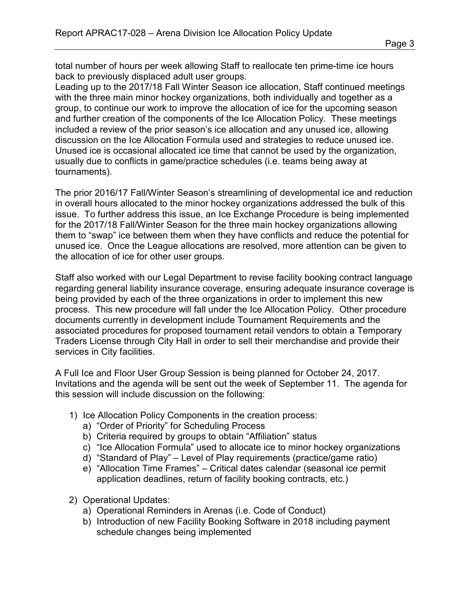total number of hours per week allowing Staff to reallocate ten prime-time ice hours back to previously displaced adult user groups.

Leading up to the 2017/18 Fall Winter Season ice allocation, Staff continued meetings with the three main minor hockey organizations, both individually and together as a group, to continue our work to improve the allocation of ice for the upcoming season and further creation of the components of the Ice Allocation Policy. These meetings included a review of the prior season's ice allocation and any unused ice, allowing discussion on the Ice Allocation Formula used and strategies to reduce unused ice. Unused ice is occasional allocated ice time that cannot be used by the organization, usually due to conflicts in game/practice schedules (i.e. teams being away at tournaments).

The prior 2016/17 Fall/Winter Season's streamlining of developmental ice and reduction in overall hours allocated to the minor hockey organizations addressed the bulk of this issue. To further address this issue, an Ice Exchange Procedure is being implemented for the 2017/18 Fall/Winter Season for the three main hockey organizations allowing them to "swap" ice between them when they have conflicts and reduce the potential for unused ice. Once the League allocations are resolved, more attention can be given to the allocation of ice for other user groups.

Staff also worked with our Legal Department to revise facility booking contract language regarding general liability insurance coverage, ensuring adequate insurance coverage is being provided by each of the three organizations in order to implement this new process. This new procedure will fall under the Ice Allocation Policy. Other procedure documents currently in development include Tournament Requirements and the associated procedures for proposed tournament retail vendors to obtain a Temporary Traders License through City Hall in order to sell their merchandise and provide their services in City facilities.

A Full Ice and Floor User Group Session is being planned for October 24, 2017. Invitations and the agenda will be sent out the week of September 11. The agenda for this session will include discussion on the following:

- 1) Ice Allocation Policy Components in the creation process:
	- a) "Order of Priority" for Scheduling Process
	- b) Criteria required by groups to obtain "Affiliation" status
	- c) "Ice Allocation Formula" used to allocate ice to minor hockey organizations
	- d) "Standard of Play" Level of Play requirements (practice/game ratio)
	- e) "Allocation Time Frames" Critical dates calendar (seasonal ice permit application deadlines, return of facility booking contracts, etc.)
- 2) Operational Updates:
	- a) Operational Reminders in Arenas (i.e. Code of Conduct)
	- b) Introduction of new Facility Booking Software in 2018 including payment schedule changes being implemented